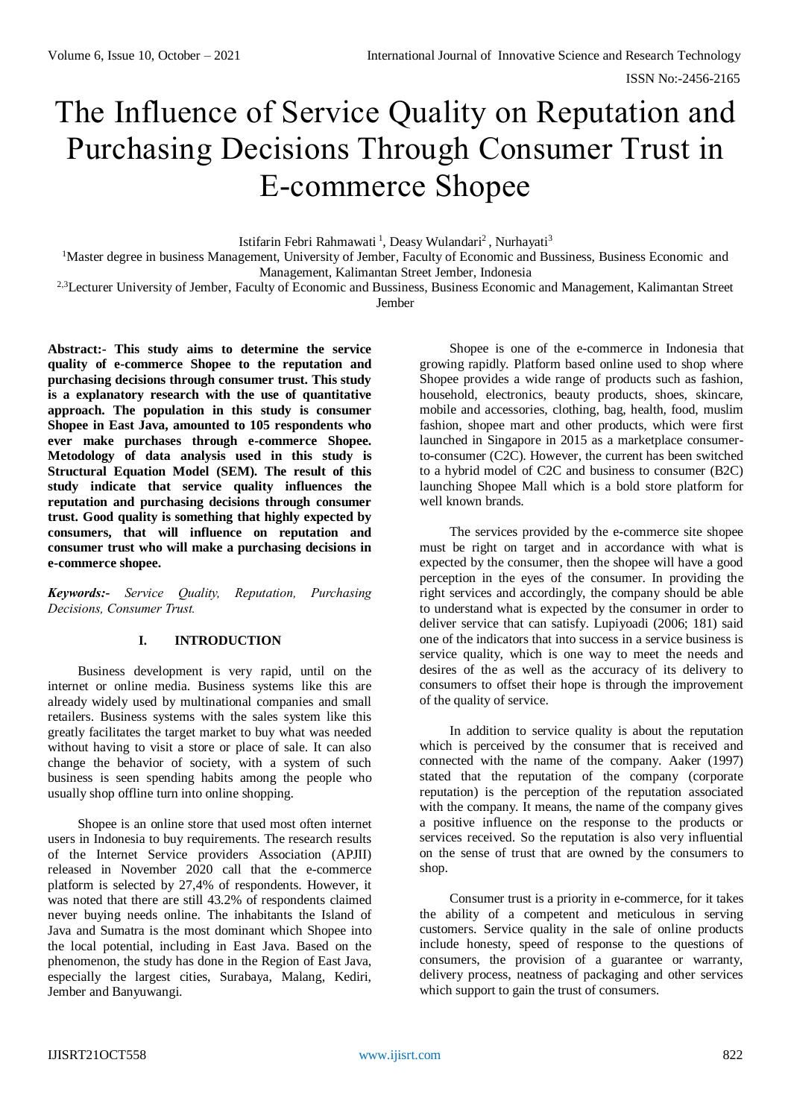ISSN No:-2456-2165

# The Influence of Service Quality on Reputation and Purchasing Decisions Through Consumer Trust in E-commerce Shopee

Istifarin Febri Rahmawati<sup>1</sup>, Deasy Wulandari<sup>2</sup>, Nurhayati<sup>3</sup>

<sup>1</sup>Master degree in business Management, University of Jember, Faculty of Economic and Bussiness, Business Economic and Management, Kalimantan Street Jember, Indonesia

<sup>2,3</sup>Lecturer University of Jember, Faculty of Economic and Bussiness, Business Economic and Management, Kalimantan Street Jember

**Abstract:- This study aims to determine the service quality of e-commerce Shopee to the reputation and purchasing decisions through consumer trust. This study is a explanatory research with the use of quantitative approach. The population in this study is consumer Shopee in East Java, amounted to 105 respondents who ever make purchases through e-commerce Shopee. Metodology of data analysis used in this study is Structural Equation Model (SEM). The result of this study indicate that service quality influences the reputation and purchasing decisions through consumer trust. Good quality is something that highly expected by consumers, that will influence on reputation and consumer trust who will make a purchasing decisions in e-commerce shopee.**

*Keywords:- Service Quality, Reputation, Purchasing Decisions, Consumer Trust.*

# **I. INTRODUCTION**

Business development is very rapid, until on the internet or online media. Business systems like this are already widely used by multinational companies and small retailers. Business systems with the sales system like this greatly facilitates the target market to buy what was needed without having to visit a store or place of sale. It can also change the behavior of society, with a system of such business is seen spending habits among the people who usually shop offline turn into online shopping.

Shopee is an online store that used most often internet users in Indonesia to buy requirements. The research results of the Internet Service providers Association (APJII) released in November 2020 call that the e-commerce platform is selected by 27,4% of respondents. However, it was noted that there are still 43.2% of respondents claimed never buying needs online. The inhabitants the Island of Java and Sumatra is the most dominant which Shopee into the local potential, including in East Java. Based on the phenomenon, the study has done in the Region of East Java, especially the largest cities, Surabaya, Malang, Kediri, Jember and Banyuwangi.

Shopee is one of the e-commerce in Indonesia that growing rapidly. Platform based online used to shop where Shopee provides a wide range of products such as fashion, household, electronics, beauty products, shoes, skincare, mobile and accessories, clothing, bag, health, food, muslim fashion, shopee mart and other products, which were first launched in Singapore in 2015 as a marketplace consumerto-consumer (C2C). However, the current has been switched to a hybrid model of C2C and business to consumer (B2C) launching Shopee Mall which is a bold store platform for well known brands.

The services provided by the e-commerce site shopee must be right on target and in accordance with what is expected by the consumer, then the shopee will have a good perception in the eyes of the consumer. In providing the right services and accordingly, the company should be able to understand what is expected by the consumer in order to deliver service that can satisfy. Lupiyoadi (2006; 181) said one of the indicators that into success in a service business is service quality, which is one way to meet the needs and desires of the as well as the accuracy of its delivery to consumers to offset their hope is through the improvement of the quality of service.

In addition to service quality is about the reputation which is perceived by the consumer that is received and connected with the name of the company. Aaker (1997) stated that the reputation of the company (corporate reputation) is the perception of the reputation associated with the company. It means, the name of the company gives a positive influence on the response to the products or services received. So the reputation is also very influential on the sense of trust that are owned by the consumers to shop.

Consumer trust is a priority in e-commerce, for it takes the ability of a competent and meticulous in serving customers. Service quality in the sale of online products include honesty, speed of response to the questions of consumers, the provision of a guarantee or warranty, delivery process, neatness of packaging and other services which support to gain the trust of consumers.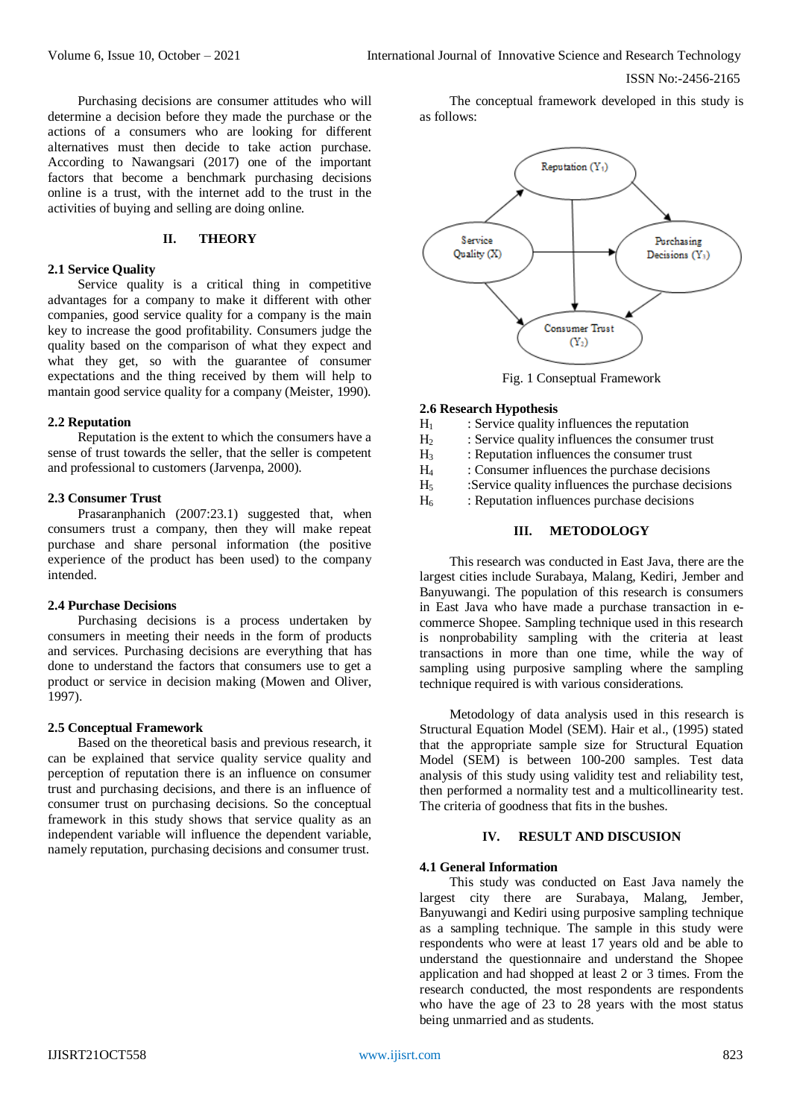Purchasing decisions are consumer attitudes who will determine a decision before they made the purchase or the actions of a consumers who are looking for different alternatives must then decide to take action purchase. According to Nawangsari (2017) one of the important factors that become a benchmark purchasing decisions online is a trust, with the internet add to the trust in the activities of buying and selling are doing online.

# **II. THEORY**

#### **2.1 Service Quality**

Service quality is a critical thing in competitive advantages for a company to make it different with other companies, good service quality for a company is the main key to increase the good profitability. Consumers judge the quality based on the comparison of what they expect and what they get, so with the guarantee of consumer expectations and the thing received by them will help to mantain good service quality for a company (Meister, 1990).

#### **2.2 Reputation**

Reputation is the extent to which the consumers have a sense of trust towards the seller, that the seller is competent and professional to customers (Jarvenpa, 2000).

#### **2.3 Consumer Trust**

Prasaranphanich (2007:23.1) suggested that, when consumers trust a company, then they will make repeat purchase and share personal information (the positive experience of the product has been used) to the company intended.

# **2.4 Purchase Decisions**

Purchasing decisions is a process undertaken by consumers in meeting their needs in the form of products and services. Purchasing decisions are everything that has done to understand the factors that consumers use to get a product or service in decision making (Mowen and Oliver, 1997).

#### **2.5 Conceptual Framework**

Based on the theoretical basis and previous research, it can be explained that service quality service quality and perception of reputation there is an influence on consumer trust and purchasing decisions, and there is an influence of consumer trust on purchasing decisions. So the conceptual framework in this study shows that service quality as an independent variable will influence the dependent variable, namely reputation, purchasing decisions and consumer trust.

The conceptual framework developed in this study is as follows:



Fig. 1 Conseptual Framework

#### **2.6 Research Hypothesis**

- $H<sub>1</sub>$  : Service quality influences the reputation
- $H<sub>2</sub>$  : Service quality influences the consumer trust
- $H<sub>3</sub>$ : Reputation influences the consumer trust
- H<sup>4</sup> : Consumer influences the purchase decisions
- H<sup>5</sup> :Service quality influences the purchase decisions
- $H<sub>6</sub>$  : Reputation influences purchase decisions

# **III. METODOLOGY**

This research was conducted in East Java, there are the largest cities include Surabaya, Malang, Kediri, Jember and Banyuwangi. The population of this research is consumers in East Java who have made a purchase transaction in ecommerce Shopee. Sampling technique used in this research is nonprobability sampling with the criteria at least transactions in more than one time, while the way of sampling using purposive sampling where the sampling technique required is with various considerations.

Metodology of data analysis used in this research is Structural Equation Model (SEM). Hair et al., (1995) stated that the appropriate sample size for Structural Equation Model (SEM) is between 100-200 samples. Test data analysis of this study using validity test and reliability test, then performed a normality test and a multicollinearity test. The criteria of goodness that fits in the bushes.

# **IV. RESULT AND DISCUSION**

#### **4.1 General Information**

This study was conducted on East Java namely the largest city there are Surabaya, Malang, Jember, Banyuwangi and Kediri using purposive sampling technique as a sampling technique. The sample in this study were respondents who were at least 17 years old and be able to understand the questionnaire and understand the Shopee application and had shopped at least 2 or 3 times. From the research conducted, the most respondents are respondents who have the age of 23 to 28 years with the most status being unmarried and as students.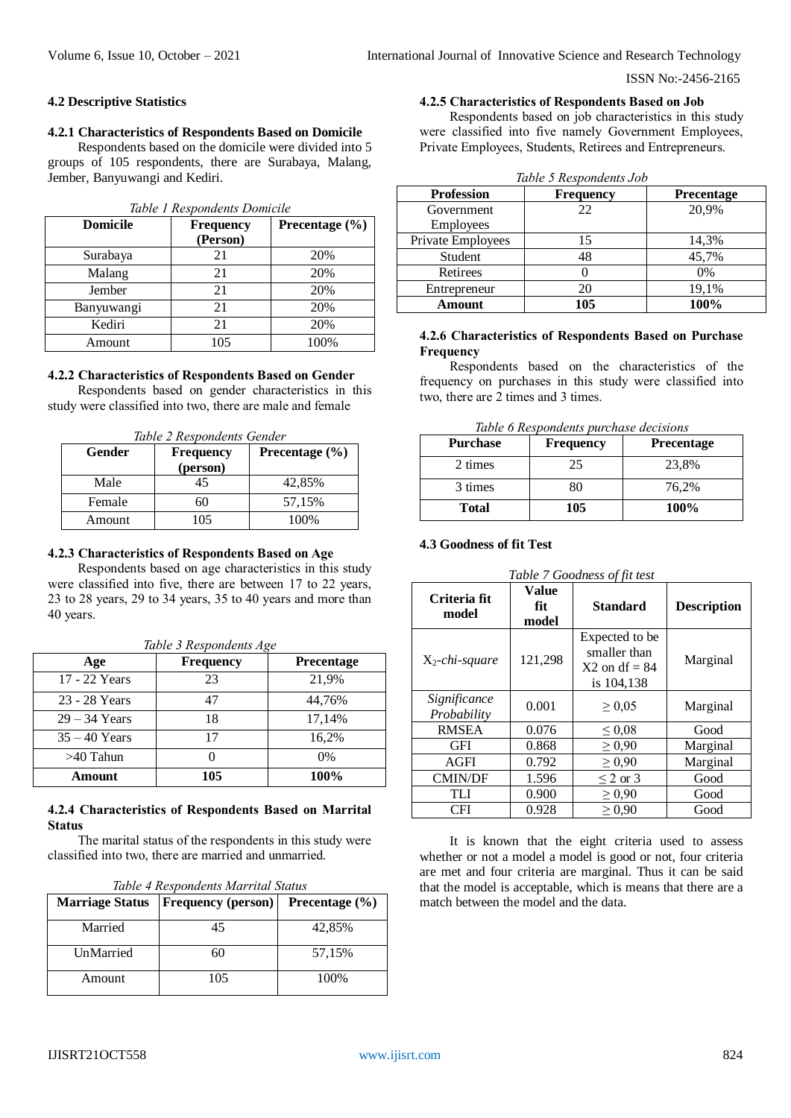ISSN No:-2456-2165

#### **4.2 Descriptive Statistics**

#### **4.2.1 Characteristics of Respondents Based on Domicile**

Respondents based on the domicile were divided into 5 groups of 105 respondents, there are Surabaya, Malang, Jember, Banyuwangi and Kediri.

| Table 1 Respondents Domicile |                    |      |  |  |
|------------------------------|--------------------|------|--|--|
| <b>Domicile</b>              | Precentage $(\% )$ |      |  |  |
| Surabaya                     | 21                 | 20%  |  |  |
| Malang                       | 21                 | 20%  |  |  |
| Jember                       | 21                 | 20%  |  |  |
| Banyuwangi                   | 21                 | 20%  |  |  |
| Kediri                       | 21                 | 20%  |  |  |
| Amount                       | 105                | 100% |  |  |

#### **4.2.2 Characteristics of Respondents Based on Gender**

Respondents based on gender characteristics in this study were classified into two, there are male and female

*Table 2 Respondents Gender*

| Gender | <b>Frequency</b><br>(person) | Precentage $(\% )$ |
|--------|------------------------------|--------------------|
| Male   | 45                           | 42,85%             |
| Female |                              | 57,15%             |
| Amount | 105                          | 100%               |

#### **4.2.3 Characteristics of Respondents Based on Age**

Respondents based on age characteristics in this study were classified into five, there are between 17 to 22 years, 23 to 28 years, 29 to 34 years, 35 to 40 years and more than 40 years.

*Table 3 Respondents Age*

| Age             | <b>Frequency</b> | <b>Precentage</b> |
|-----------------|------------------|-------------------|
| 17 - 22 Years   | 23               | 21,9%             |
| 23 - 28 Years   | 47               | 44,76%            |
| $29 - 34$ Years | 18               | 17,14%            |
| $35 - 40$ Years | 17               | 16,2%             |
| $>40$ Tahun     |                  | $0\%$             |
| Amount          | 105              | 100%              |

# **4.2.4 Characteristics of Respondents Based on Marrital Status**

The marital status of the respondents in this study were classified into two, there are married and unmarried.

| <b>Marriage Status</b> | <b>Frequency (person)</b> | Precentage $(\% )$ |  |
|------------------------|---------------------------|--------------------|--|
| Married                | 45                        | 42,85%             |  |
| UnMarried              | 60                        | 57,15%             |  |
| Amount                 | 105                       | 100%               |  |

# **4.2.5 Characteristics of Respondents Based on Job**

Respondents based on job characteristics in this study were classified into five namely Government Employees, Private Employees, Students, Retirees and Entrepreneurs.

| Table 5 Respondents Job        |                  |                   |  |  |  |
|--------------------------------|------------------|-------------------|--|--|--|
| <b>Profession</b>              | <b>Frequency</b> | <b>Precentage</b> |  |  |  |
| Government<br><b>Employees</b> | 22               | 20,9%             |  |  |  |
| Private Employees              | 15               | 14,3%             |  |  |  |
| Student                        | 48               | 45,7%             |  |  |  |
| Retirees                       |                  | $0\%$             |  |  |  |
| Entrepreneur                   | 20               | 19,1%             |  |  |  |
| Amount                         | 105              | 100%              |  |  |  |

## **4.2.6 Characteristics of Respondents Based on Purchase Frequency**

Respondents based on the characteristics of the frequency on purchases in this study were classified into two, there are 2 times and 3 times.

| Table 6 Respondents purchase decisions |  |
|----------------------------------------|--|
|----------------------------------------|--|

| <b>Purchase</b> | <b>Frequency</b> | <b>Precentage</b> |
|-----------------|------------------|-------------------|
| 2 times         | 25               | 23,8%             |
| 3 times         | 80               | 76.2%             |
| <b>Total</b>    | 105              | 100%              |

# **4.3 Goodness of fit Test**

| Table 7 Goodness of fit test |                       |                                                                 |                    |  |
|------------------------------|-----------------------|-----------------------------------------------------------------|--------------------|--|
| Criteria fit<br>model        | Value<br>fit<br>model | <b>Standard</b>                                                 | <b>Description</b> |  |
| $X_2$ -chi-square            | 121,298               | Expected to be<br>smaller than<br>$X2$ on df = 84<br>is 104,138 | Marginal           |  |
| Significance<br>Probability  | 0.001                 | $\geq 0.05$                                                     | Marginal           |  |
| <b>RMSEA</b>                 | 0.076                 | $\leq 0.08$                                                     | Good               |  |
| GFI                          | 0.868                 | $\geq 0.90$                                                     | Marginal           |  |
| AGFI                         | 0.792                 | $\geq 0.90$                                                     | Marginal           |  |
| <b>CMIN/DF</b>               | 1.596                 | $\leq$ 2 or 3                                                   | Good               |  |
| TLI                          | 0.900                 | $\geq 0.90$                                                     | Good               |  |
| CFI                          | 0.928                 | $\geq 0.90$                                                     | Good               |  |

It is known that the eight criteria used to assess whether or not a model a model is good or not, four criteria are met and four criteria are marginal. Thus it can be said that the model is acceptable, which is means that there are a match between the model and the data.